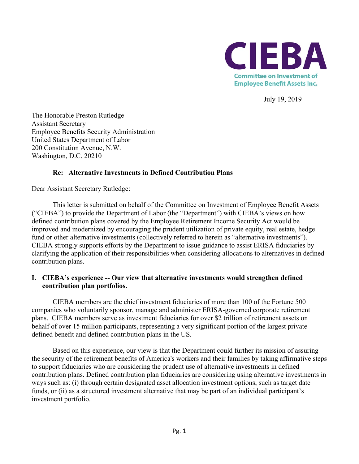

July 19, 2019

The Honorable Preston Rutledge Assistant Secretary Employee Benefits Security Administration United States Department of Labor 200 Constitution Avenue, N.W. Washington, D.C. 20210

### **Re: Alternative Investments in Defined Contribution Plans**

Dear Assistant Secretary Rutledge:

This letter is submitted on behalf of the Committee on Investment of Employee Benefit Assets ("CIEBA") to provide the Department of Labor (the "Department") with CIEBA's views on how defined contribution plans covered by the Employee Retirement Income Security Act would be improved and modernized by encouraging the prudent utilization of private equity, real estate, hedge fund or other alternative investments (collectively referred to herein as "alternative investments"). CIEBA strongly supports efforts by the Department to issue guidance to assist ERISA fiduciaries by clarifying the application of their responsibilities when considering allocations to alternatives in defined contribution plans.

## **I. CIEBA's experience -- Our view that alternative investments would strengthen defined contribution plan portfolios.**

CIEBA members are the chief investment fiduciaries of more than 100 of the Fortune 500 companies who voluntarily sponsor, manage and administer ERISA-governed corporate retirement plans. CIEBA members serve as investment fiduciaries for over \$2 trillion of retirement assets on behalf of over 15 million participants, representing a very significant portion of the largest private defined benefit and defined contribution plans in the US.

Based on this experience, our view is that the Department could further its mission of assuring the security of the retirement benefits of America's workers and their families by taking affirmative steps to support fiduciaries who are considering the prudent use of alternative investments in defined contribution plans. Defined contribution plan fiduciaries are considering using alternative investments in ways such as: (i) through certain designated asset allocation investment options, such as target date funds, or (ii) as a structured investment alternative that may be part of an individual participant's investment portfolio.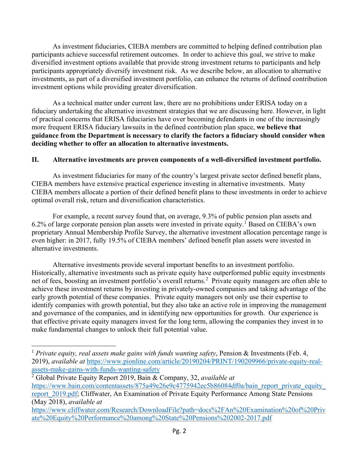As investment fiduciaries, CIEBA members are committed to helping defined contribution plan participants achieve successful retirement outcomes. In order to achieve this goal, we strive to make diversified investment options available that provide strong investment returns to participants and help participants appropriately diversify investment risk. As we describe below, an allocation to alternative investments, as part of a diversified investment portfolio, can enhance the returns of defined contribution investment options while providing greater diversification.

As a technical matter under current law, there are no prohibitions under ERISA today on a fiduciary undertaking the alternative investment strategies that we are discussing here. However, in light of practical concerns that ERISA fiduciaries have over becoming defendants in one of the increasingly more frequent ERISA fiduciary lawsuits in the defined contribution plan space, **we believe that guidance from the Department is necessary to clarify the factors a fiduciary should consider when deciding whether to offer an allocation to alternative investments.**

## **II. Alternative investments are proven components of a well-diversified investment portfolio.**

As investment fiduciaries for many of the country's largest private sector defined benefit plans, CIEBA members have extensive practical experience investing in alternative investments. Many CIEBA members allocate a portion of their defined benefit plans to these investments in order to achieve optimal overall risk, return and diversification characteristics.

For example, a recent survey found that, on average, 9.3% of public pension plan assets and 6.2% of large corporate pension plan assets were invested in private equity. [1](#page-1-0) Based on CIEBA's own proprietary Annual Membership Profile Survey, the alternative investment allocation percentage range is even higher: in 2017, fully 19.5% of CIEBA members' defined benefit plan assets were invested in alternative investments.

Alternative investments provide several important benefits to an investment portfolio. Historically, alternative investments such as private equity have outperformed public equity investments net of fees, boosting an investment portfolio's overall returns.<sup>[2](#page-1-1)</sup> Private equity managers are often able to achieve these investment returns by investing in privately-owned companies and taking advantage of the early growth potential of these companies. Private equity managers not only use their expertise to identify companies with growth potential, but they also take an active role in improving the management and governance of the companies, and in identifying new opportunities for growth. Our experience is that effective private equity managers invest for the long term, allowing the companies they invest in to make fundamental changes to unlock their full potential value.

 $\overline{a}$ 

<span id="page-1-0"></span><sup>&</sup>lt;sup>1</sup> Private equity, real assets make gains with funds wanting safety, Pension & Investments (Feb. 4, 2019), *available at* [https://www.pionline.com/article/20190204/PRINT/190209966/private-equity-real](https://www.pionline.com/article/20190204/PRINT/190209966/private-equity-real-assets-make-gains-with-funds-wanting-safety)[assets-make-gains-with-funds-wanting-safety](https://www.pionline.com/article/20190204/PRINT/190209966/private-equity-real-assets-make-gains-with-funds-wanting-safety) 2 Global Private Equity Report 2019, Bain & Company, 32, *available at*

<span id="page-1-1"></span>[https://www.bain.com/contentassets/875a49e26e9c4775942ec5b86084df0a/bain\\_report\\_private\\_equity\\_](https://www.bain.com/contentassets/875a49e26e9c4775942ec5b86084df0a/bain_report_private_equity_report_2019.pdf) report 2019.pdf; Cliffwater, An Examination of Private Equity Performance Among State Pensions (May 2018), *available at*

[https://www.cliffwater.com/Research/DownloadFile?path=docs%2FAn%20Examination%20of%20Priv](https://www.cliffwater.com/Research/DownloadFile?path=docs%2FAn%20Examination%20of%20Private%20Equity%20Performance%20among%20State%20Pensions%202002-2017.pdf) [ate%20Equity%20Performance%20among%20State%20Pensions%202002-2017.pdf](https://www.cliffwater.com/Research/DownloadFile?path=docs%2FAn%20Examination%20of%20Private%20Equity%20Performance%20among%20State%20Pensions%202002-2017.pdf)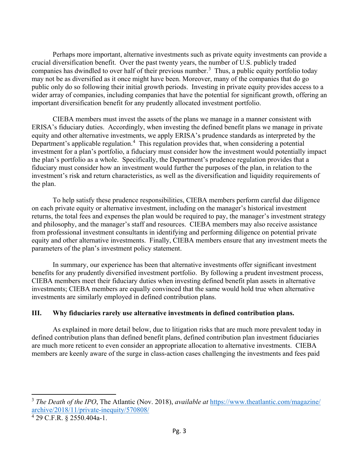Perhaps more important, alternative investments such as private equity investments can provide a crucial diversification benefit. Over the past twenty years, the number of U.S. publicly traded companies has dwindled to over half of their previous number.<sup>[3](#page-2-0)</sup> Thus, a public equity portfolio today may not be as diversified as it once might have been. Moreover, many of the companies that do go public only do so following their initial growth periods. Investing in private equity provides access to a wider array of companies, including companies that have the potential for significant growth, offering an important diversification benefit for any prudently allocated investment portfolio.

CIEBA members must invest the assets of the plans we manage in a manner consistent with ERISA's fiduciary duties. Accordingly, when investing the defined benefit plans we manage in private equity and other alternative investments, we apply ERISA's prudence standards as interpreted by the Department's applicable regulation.<sup>[4](#page-2-1)</sup> This regulation provides that, when considering a potential investment for a plan's portfolio, a fiduciary must consider how the investment would potentially impact the plan's portfolio as a whole. Specifically, the Department's prudence regulation provides that a fiduciary must consider how an investment would further the purposes of the plan, in relation to the investment's risk and return characteristics, as well as the diversification and liquidity requirements of the plan.

To help satisfy these prudence responsibilities, CIEBA members perform careful due diligence on each private equity or alternative investment, including on the manager's historical investment returns, the total fees and expenses the plan would be required to pay, the manager's investment strategy and philosophy, and the manager's staff and resources. CIEBA members may also receive assistance from professional investment consultants in identifying and performing diligence on potential private equity and other alternative investments. Finally, CIEBA members ensure that any investment meets the parameters of the plan's investment policy statement.

In summary, our experience has been that alternative investments offer significant investment benefits for any prudently diversified investment portfolio. By following a prudent investment process, CIEBA members meet their fiduciary duties when investing defined benefit plan assets in alternative investments; CIEBA members are equally convinced that the same would hold true when alternative investments are similarly employed in defined contribution plans.

## **III. Why fiduciaries rarely use alternative investments in defined contribution plans.**

As explained in more detail below, due to litigation risks that are much more prevalent today in defined contribution plans than defined benefit plans, defined contribution plan investment fiduciaries are much more reticent to even consider an appropriate allocation to alternative investments. CIEBA members are keenly aware of the surge in class-action cases challenging the investments and fees paid

 $\overline{\phantom{a}}$ 

<span id="page-2-0"></span><sup>3</sup> *The Death of the IPO*, The Atlantic (Nov. 2018), *available at* [https://www.theatlantic.com/magazine/](https://www.theatlantic.com/magazine/%20archive/2018/11/private-inequity/570808/)  [archive/2018/11/private-inequity/570808/](https://www.theatlantic.com/magazine/%20archive/2018/11/private-inequity/570808/)

<span id="page-2-1"></span><sup>4</sup> 29 C.F.R. § 2550.404a-1.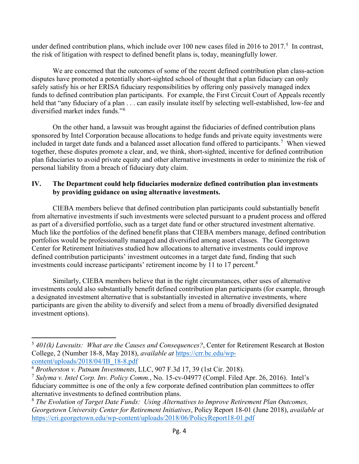under defined contribution plans, which include over 100 new cases filed in 2016 to 2017.<sup>[5](#page-3-0)</sup> In contrast, the risk of litigation with respect to defined benefit plans is, today, meaningfully lower.

We are concerned that the outcomes of some of the recent defined contribution plan class-action disputes have promoted a potentially short-sighted school of thought that a plan fiduciary can only safely satisfy his or her ERISA fiduciary responsibilities by offering only passively managed index funds to defined contribution plan participants. For example, the First Circuit Court of Appeals recently held that "any fiduciary of a plan . . . can easily insulate itself by selecting well-established, low-fee and diversified market index funds."<sup>[6](#page-3-1)</sup>

On the other hand, a lawsuit was brought against the fiduciaries of defined contribution plans sponsored by Intel Corporation because allocations to hedge funds and private equity investments were included in target date funds and a balanced asset allocation fund offered to participants.<sup>[7](#page-3-2)</sup> When viewed together, these disputes promote a clear, and, we think, short-sighted, incentive for defined contribution plan fiduciaries to avoid private equity and other alternative investments in order to minimize the risk of personal liability from a breach of fiduciary duty claim.

# **IV. The Department could help fiduciaries modernize defined contribution plan investments by providing guidance on using alternative investments.**

CIEBA members believe that defined contribution plan participants could substantially benefit from alternative investments if such investments were selected pursuant to a prudent process and offered as part of a diversified portfolio, such as a target date fund or other structured investment alternative. Much like the portfolios of the defined benefit plans that CIEBA members manage, defined contribution portfolios would be professionally managed and diversified among asset classes. The Georgetown Center for Retirement Initiatives studied how allocations to alternative investments could improve defined contribution participants' investment outcomes in a target date fund, finding that such investments could increase participants' retirement income by 11 to 17 percent. $8$ 

Similarly, CIEBA members believe that in the right circumstances, other uses of alternative investments could also substantially benefit defined contribution plan participants (for example, through a designated investment alternative that is substantially invested in alternative investments, where participants are given the ability to diversify and select from a menu of broadly diversified designated investment options).

 $\overline{a}$ 

<span id="page-3-3"></span><sup>8</sup> *The Evolution of Target Date Funds: Using Alternatives to Improve Retirement Plan Outcomes, Georgetown University Center for Retirement Initiatives*, Policy Report 18-01 (June 2018), *available at* <https://cri.georgetown.edu/wp-content/uploads/2018/06/PolicyReport18-01.pdf>

<span id="page-3-0"></span><sup>5</sup> *401(k) Lawsuits: What are the Causes and Consequences?*, Center for Retirement Research at Boston College, 2 (Number 18-8, May 2018), *available at* [https://crr.bc.edu/wp](https://crr.bc.edu/wp-content/uploads/2018/04/IB_18-8.pdf)[content/uploads/2018/04/IB\\_18-8.pdf](https://crr.bc.edu/wp-content/uploads/2018/04/IB_18-8.pdf)

<span id="page-3-1"></span><sup>6</sup> *Brotherston v. Putnam Investments*, LLC, 907 F.3d 17, 39 (1st Cir. 2018).

<span id="page-3-2"></span><sup>7</sup> *Sulyma v. Intel Corp. Inv. Policy Comm.*, No. 15-cv-04977 (Compl. Filed Apr. 26, 2016). Intel's fiduciary committee is one of the only a few corporate defined contribution plan committees to offer alternative investments to defined contribution plans.